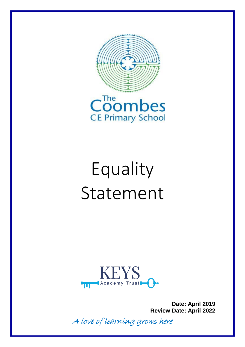



## Equality Statement



**Date: April 2019 Review Date: April 2022**

A love of learning grows here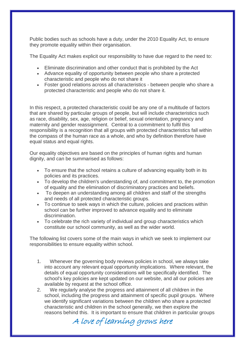Public bodies such as schools have a duty, under the 2010 Equality Act, to ensure they promote equality within their organisation.

The Equality Act makes explicit our responsibility to have due regard to the need to:

- Eliminate discrimination and other conduct that is prohibited by the Act
- Advance equality of opportunity between people who share a protected characteristic and people who do not share it
- Foster good relations across all characteristics between people who share a protected characteristic and people who do not share it.

In this respect, a protected characteristic could be any one of a multitude of factors that are shared by particular groups of people, but will include characteristics such as race, disability, sex, age, religion or belief, sexual orientation, pregnancy and maternity and gender reassignment. Central to a commitment to fulfil this responsibility is a recognition that all groups with protected characteristics fall within the compass of the human race as a whole, and who by definition therefore have equal status and equal rights.

Our equality objectives are based on the principles of human rights and human dignity, and can be summarised as follows:

- To ensure that the school retains a culture of advancing equality both in its policies and its practices.
- To develop the children's understanding of, and commitment to, the promotion of equality and the elimination of discriminatory practices and beliefs.
- To deepen an understanding among all children and staff of the strengths and needs of all protected characteristic groups.
- To continue to seek ways in which the culture, policies and practices within school can be further improved to advance equality and to eliminate discrimination.
- To celebrate the rich variety of individual and group characteristics which constitute our school community, as well as the wider world.

The following list covers some of the main ways in which we seek to implement our responsibilities to ensure equality within school.

- 1. Whenever the governing body reviews policies in school, we always take into account any relevant equal opportunity implications. Where relevant, the details of equal opportunity considerations will be specifically identified. The school's key policies are kept updated on our website, and all our policies are available by request at the school office.
- 2. We regularly analyse the progress and attainment of all children in the school, including the progress and attainment of specific pupil groups. Where we identify significant variations between the children who share a protected characteristic and children in the school generally, we then explore the reasons behind this. It is important to ensure that children in particular groups

A love of learning grows here